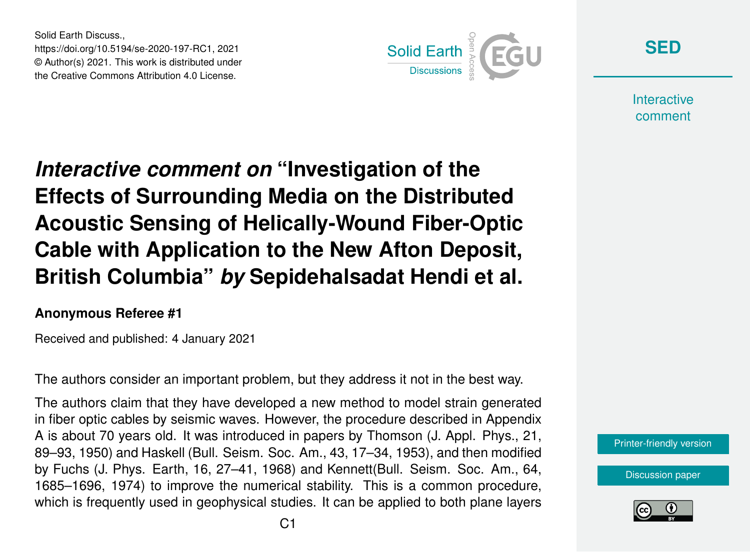Solid Earth Discuss., https://doi.org/10.5194/se-2020-197-RC1, 2021 © Author(s) 2021. This work is distributed under the Creative Commons Attribution 4.0 License.



**[SED](https://se.copernicus.org/preprints/)**

**Interactive** comment

*Interactive comment on* **"Investigation of the Effects of Surrounding Media on the Distributed Acoustic Sensing of Helically-Wound Fiber-Optic Cable with Application to the New Afton Deposit, British Columbia"** *by* **Sepidehalsadat Hendi et al.**

## **Anonymous Referee #1**

Received and published: 4 January 2021

The authors consider an important problem, but they address it not in the best way.

The authors claim that they have developed a new method to model strain generated in fiber optic cables by seismic waves. However, the procedure described in Appendix A is about 70 years old. It was introduced in papers by Thomson (J. Appl. Phys., 21, 89–93, 1950) and Haskell (Bull. Seism. Soc. Am., 43, 17–34, 1953), and then modified by Fuchs (J. Phys. Earth, 16, 27–41, 1968) and Kennett(Bull. Seism. Soc. Am., 64, 1685–1696, 1974) to improve the numerical stability. This is a common procedure, which is frequently used in geophysical studies. It can be applied to both plane layers



[Discussion paper](https://se.copernicus.org/preprints/se-2020-197)